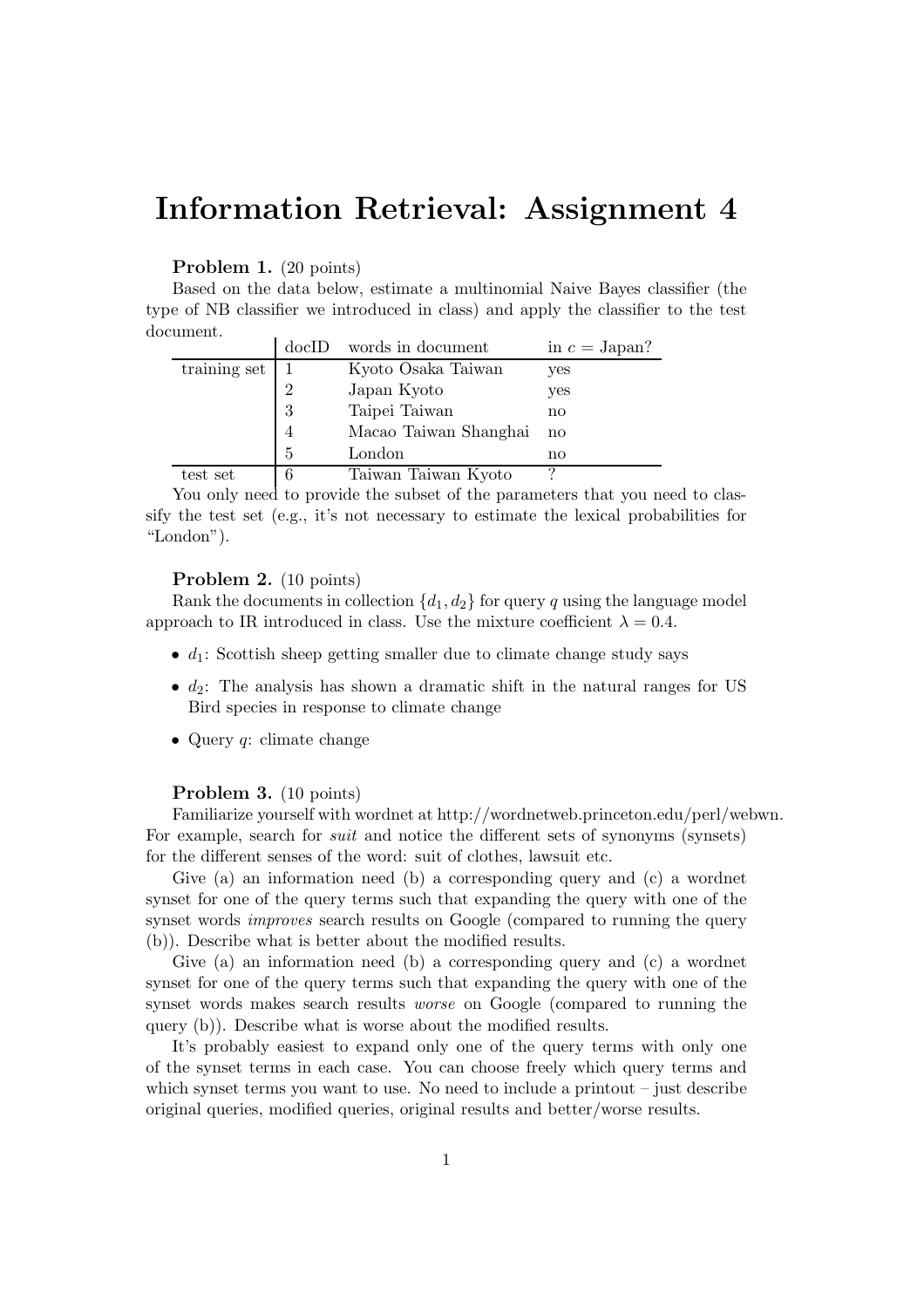# Information Retrieval: Assignment 4

## Problem 1. (20 points)

Based on the data below, estimate a multinomial Naive Bayes classifier (the type of NB classifier we introduced in class) and apply the classifier to the test document.

|                  | docID          | words in document     | in $c =$ Japan?        |
|------------------|----------------|-----------------------|------------------------|
| training set $ $ |                | Kyoto Osaka Taiwan    | yes                    |
|                  | $\overline{2}$ | Japan Kyoto           | yes                    |
|                  | 3              | Taipei Taiwan         | no                     |
|                  | 4              | Macao Taiwan Shanghai | $\mathbf{n}\mathbf{o}$ |
|                  | 5              | London                | no                     |
| test set         | 6              | Taiwan Taiwan Kyoto   | ∍                      |

You only need to provide the subset of the parameters that you need to classify the test set (e.g., it's not necessary to estimate the lexical probabilities for "London").

#### Problem 2. (10 points)

Rank the documents in collection  $\{d_1, d_2\}$  for query q using the language model approach to IR introduced in class. Use the mixture coefficient  $\lambda = 0.4$ .

- $d_1$ : Scottish sheep getting smaller due to climate change study says
- $d_2$ : The analysis has shown a dramatic shift in the natural ranges for US Bird species in response to climate change
- Query  $q$ : climate change

#### Problem 3. (10 points)

Familiarize yourself with wordnet at http://wordnetweb.princeton.edu/perl/webwn. For example, search for suit and notice the different sets of synonyms (synsets) for the different senses of the word: suit of clothes, lawsuit etc.

Give (a) an information need (b) a corresponding query and (c) a wordnet synset for one of the query terms such that expanding the query with one of the synset words *improves* search results on Google (compared to running the query (b)). Describe what is better about the modified results.

Give (a) an information need (b) a corresponding query and (c) a wordnet synset for one of the query terms such that expanding the query with one of the synset words makes search results worse on Google (compared to running the query (b)). Describe what is worse about the modified results.

It's probably easiest to expand only one of the query terms with only one of the synset terms in each case. You can choose freely which query terms and which synset terms you want to use. No need to include a printout  $-$  just describe original queries, modified queries, original results and better/worse results.